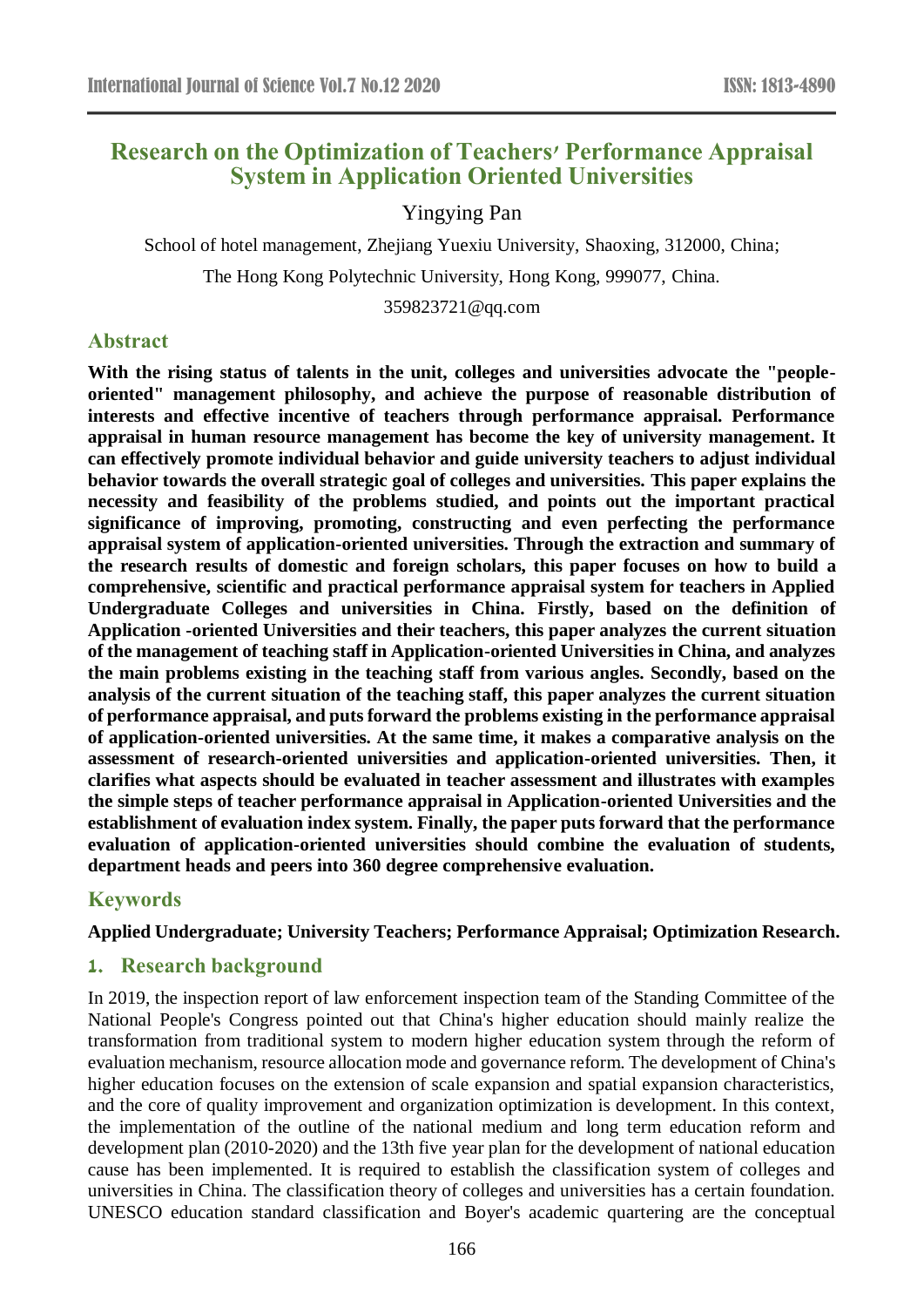# **Research on the Optimization of Teachers' Performance Appraisal System in Application Oriented Universities**

## Yingying Pan

School of hotel management, Zhejiang Yuexiu University, Shaoxing, 312000, China;

The Hong Kong Polytechnic University, Hong Kong, 999077, China.

359823721@qq.com

## **Abstract**

**With the rising status of talents in the unit, colleges and universities advocate the "peopleoriented" management philosophy, and achieve the purpose of reasonable distribution of interests and effective incentive of teachers through performance appraisal. Performance appraisal in human resource management has become the key of university management. It can effectively promote individual behavior and guide university teachers to adjust individual behavior towards the overall strategic goal of colleges and universities. This paper explains the necessity and feasibility of the problems studied, and points out the important practical significance of improving, promoting, constructing and even perfecting the performance appraisal system of application-oriented universities. Through the extraction and summary of the research results of domestic and foreign scholars, this paper focuses on how to build a comprehensive, scientific and practical performance appraisal system for teachers in Applied Undergraduate Colleges and universities in China. Firstly, based on the definition of Application -oriented Universities and their teachers, this paper analyzes the current situation of the management of teaching staff in Application-oriented Universities in China, and analyzes the main problems existing in the teaching staff from various angles. Secondly, based on the analysis of the current situation of the teaching staff, this paper analyzes the current situation of performance appraisal, and puts forward the problems existing in the performance appraisal of application-oriented universities. At the same time, it makes a comparative analysis on the assessment of research-oriented universities and application-oriented universities. Then, it clarifies what aspects should be evaluated in teacher assessment and illustrates with examples the simple steps of teacher performance appraisal in Application-oriented Universities and the establishment of evaluation index system. Finally, the paper puts forward that the performance evaluation of application-oriented universities should combine the evaluation of students, department heads and peers into 360 degree comprehensive evaluation.**

## **Keywords**

#### **Applied Undergraduate; University Teachers; Performance Appraisal; Optimization Research.**

## **1. Research background**

In 2019, the inspection report of law enforcement inspection team of the Standing Committee of the National People's Congress pointed out that China's higher education should mainly realize the transformation from traditional system to modern higher education system through the reform of evaluation mechanism, resource allocation mode and governance reform. The development of China's higher education focuses on the extension of scale expansion and spatial expansion characteristics, and the core of quality improvement and organization optimization is development. In this context, the implementation of the outline of the national medium and long term education reform and development plan (2010-2020) and the 13th five year plan for the development of national education cause has been implemented. It is required to establish the classification system of colleges and universities in China. The classification theory of colleges and universities has a certain foundation. UNESCO education standard classification and Boyer's academic quartering are the conceptual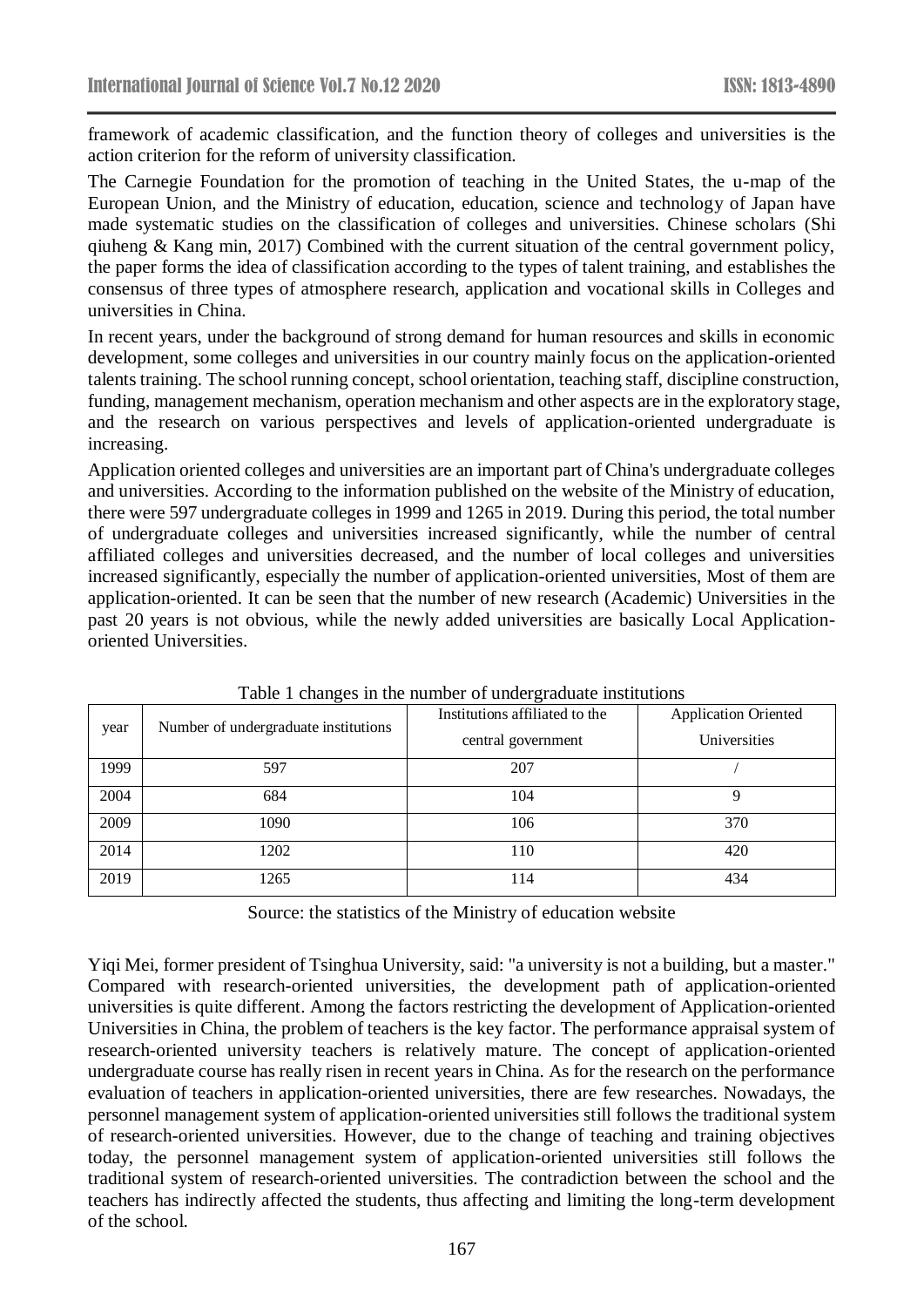framework of academic classification, and the function theory of colleges and universities is the action criterion for the reform of university classification.

The Carnegie Foundation for the promotion of teaching in the United States, the u-map of the European Union, and the Ministry of education, education, science and technology of Japan have made systematic studies on the classification of colleges and universities. Chinese scholars (Shi qiuheng & Kang min, 2017) Combined with the current situation of the central government policy, the paper forms the idea of classification according to the types of talent training, and establishes the consensus of three types of atmosphere research, application and vocational skills in Colleges and universities in China.

In recent years, under the background of strong demand for human resources and skills in economic development, some colleges and universities in our country mainly focus on the application-oriented talents training. The school running concept, school orientation, teaching staff, discipline construction, funding, management mechanism, operation mechanism and other aspects are in the exploratory stage, and the research on various perspectives and levels of application-oriented undergraduate is increasing.

Application oriented colleges and universities are an important part of China's undergraduate colleges and universities. According to the information published on the website of the Ministry of education, there were 597 undergraduate colleges in 1999 and 1265 in 2019. During this period, the total number of undergraduate colleges and universities increased significantly, while the number of central affiliated colleges and universities decreased, and the number of local colleges and universities increased significantly, especially the number of application-oriented universities, Most of them are application-oriented. It can be seen that the number of new research (Academic) Universities in the past 20 years is not obvious, while the newly added universities are basically Local Applicationoriented Universities.

|      |                                      | Institutions affiliated to the | <b>Application Oriented</b> |
|------|--------------------------------------|--------------------------------|-----------------------------|
| year | Number of undergraduate institutions | central government             | Universities                |
| 1999 | 597                                  | 207                            |                             |
| 2004 | 684                                  | 104                            | 9                           |
| 2009 | 1090                                 | 106                            | 370                         |
| 2014 | 1202                                 | 110                            | 420                         |
| 2019 | 1265                                 | ! 14                           | 434                         |

Table 1 changes in the number of undergraduate institutions

Source: the statistics of the Ministry of education website

Yiqi Mei, former president of Tsinghua University, said: "a university is not a building, but a master." Compared with research-oriented universities, the development path of application-oriented universities is quite different. Among the factors restricting the development of Application-oriented Universities in China, the problem of teachers is the key factor. The performance appraisal system of research-oriented university teachers is relatively mature. The concept of application-oriented undergraduate course has really risen in recent years in China. As for the research on the performance evaluation of teachers in application-oriented universities, there are few researches. Nowadays, the personnel management system of application-oriented universities still follows the traditional system of research-oriented universities. However, due to the change of teaching and training objectives today, the personnel management system of application-oriented universities still follows the traditional system of research-oriented universities. The contradiction between the school and the teachers has indirectly affected the students, thus affecting and limiting the long-term development of the school.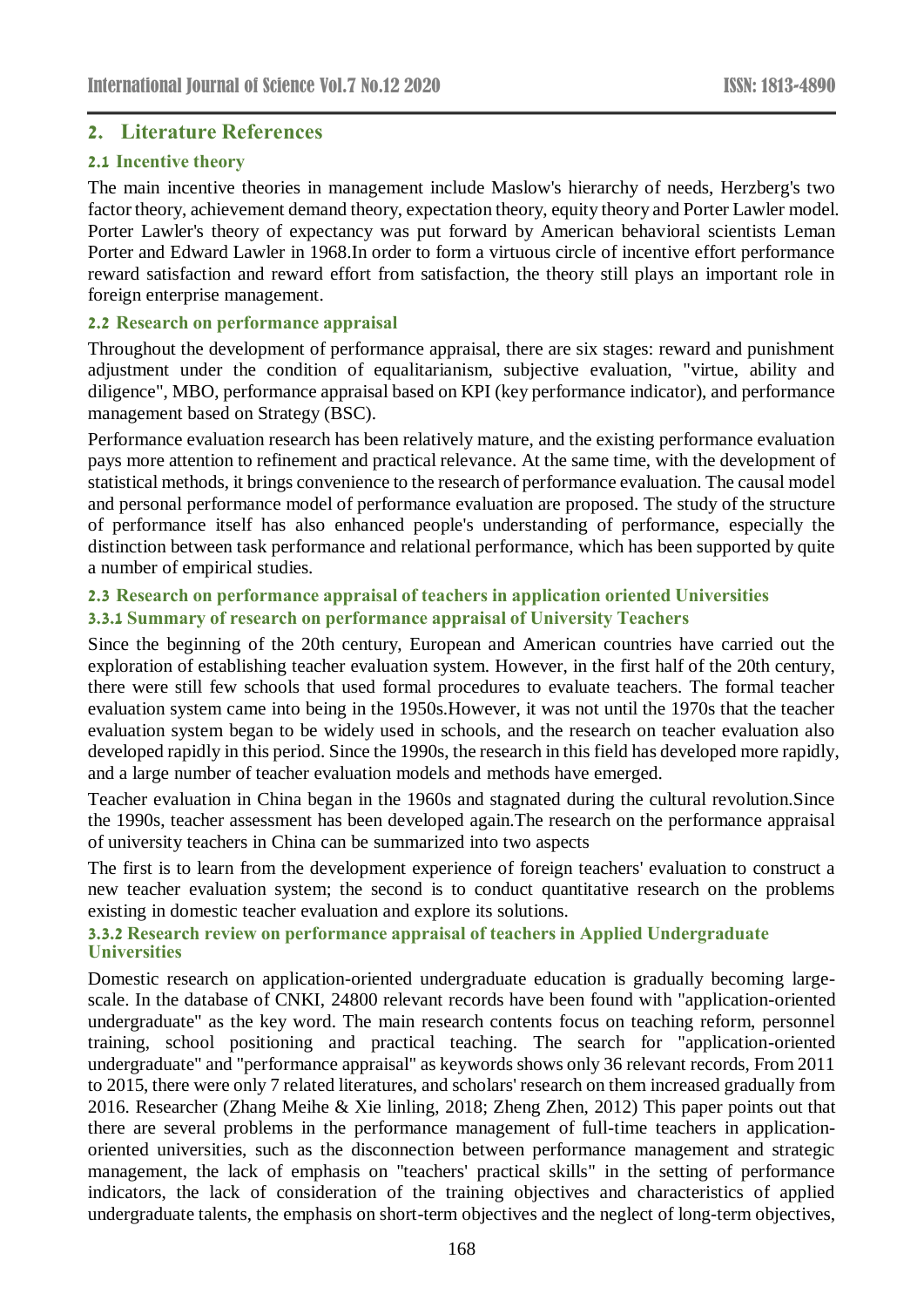## **2. Literature References**

#### **2.1 Incentive theory**

The main incentive theories in management include Maslow's hierarchy of needs, Herzberg's two factor theory, achievement demand theory, expectation theory, equity theory and Porter Lawler model. Porter Lawler's theory of expectancy was put forward by American behavioral scientists Leman Porter and Edward Lawler in 1968.In order to form a virtuous circle of incentive effort performance reward satisfaction and reward effort from satisfaction, the theory still plays an important role in foreign enterprise management.

#### **2.2 Research on performance appraisal**

Throughout the development of performance appraisal, there are six stages: reward and punishment adjustment under the condition of equalitarianism, subjective evaluation, "virtue, ability and diligence", MBO, performance appraisal based on KPI (key performance indicator), and performance management based on Strategy (BSC).

Performance evaluation research has been relatively mature, and the existing performance evaluation pays more attention to refinement and practical relevance. At the same time, with the development of statistical methods, it brings convenience to the research of performance evaluation. The causal model and personal performance model of performance evaluation are proposed. The study of the structure of performance itself has also enhanced people's understanding of performance, especially the distinction between task performance and relational performance, which has been supported by quite a number of empirical studies.

### **2.3 Research on performance appraisal of teachers in application oriented Universities 3.3.1 Summary of research on performance appraisal of University Teachers**

Since the beginning of the 20th century, European and American countries have carried out the exploration of establishing teacher evaluation system. However, in the first half of the 20th century, there were still few schools that used formal procedures to evaluate teachers. The formal teacher evaluation system came into being in the 1950s.However, it was not until the 1970s that the teacher evaluation system began to be widely used in schools, and the research on teacher evaluation also developed rapidly in this period. Since the 1990s, the research in this field has developed more rapidly, and a large number of teacher evaluation models and methods have emerged.

Teacher evaluation in China began in the 1960s and stagnated during the cultural revolution.Since the 1990s, teacher assessment has been developed again.The research on the performance appraisal of university teachers in China can be summarized into two aspects

The first is to learn from the development experience of foreign teachers' evaluation to construct a new teacher evaluation system; the second is to conduct quantitative research on the problems existing in domestic teacher evaluation and explore its solutions.

### **3.3.2 Research review on performance appraisal of teachers in Applied Undergraduate Universities**

Domestic research on application-oriented undergraduate education is gradually becoming largescale. In the database of CNKI, 24800 relevant records have been found with "application-oriented undergraduate" as the key word. The main research contents focus on teaching reform, personnel training, school positioning and practical teaching. The search for "application-oriented undergraduate" and "performance appraisal" as keywords shows only 36 relevant records, From 2011 to 2015, there were only 7 related literatures, and scholars' research on them increased gradually from 2016. Researcher (Zhang Meihe & Xie linling, 2018; Zheng Zhen, 2012) This paper points out that there are several problems in the performance management of full-time teachers in applicationoriented universities, such as the disconnection between performance management and strategic management, the lack of emphasis on "teachers' practical skills" in the setting of performance indicators, the lack of consideration of the training objectives and characteristics of applied undergraduate talents, the emphasis on short-term objectives and the neglect of long-term objectives,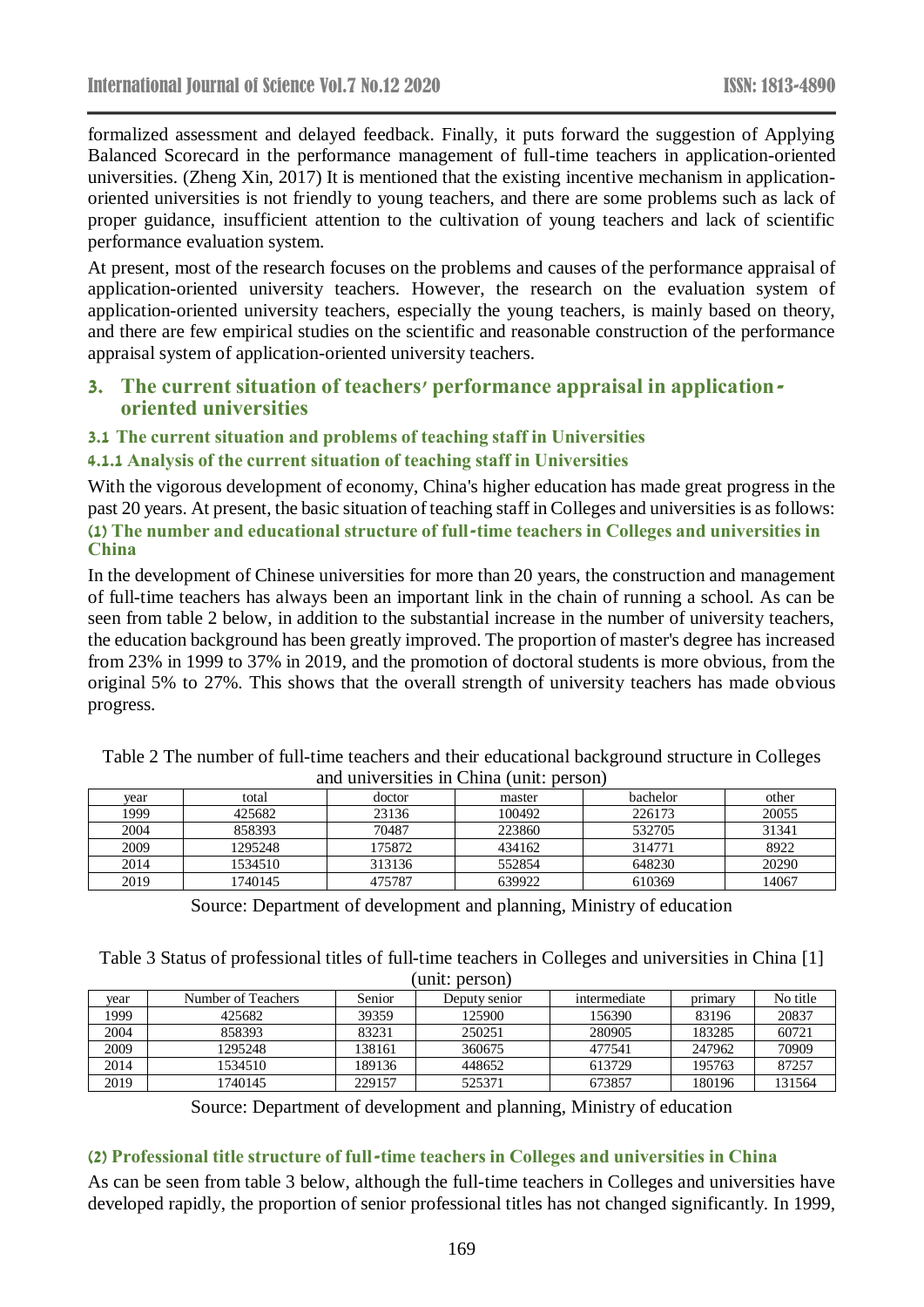formalized assessment and delayed feedback. Finally, it puts forward the suggestion of Applying Balanced Scorecard in the performance management of full-time teachers in application-oriented universities. (Zheng Xin, 2017) It is mentioned that the existing incentive mechanism in applicationoriented universities is not friendly to young teachers, and there are some problems such as lack of proper guidance, insufficient attention to the cultivation of young teachers and lack of scientific performance evaluation system.

At present, most of the research focuses on the problems and causes of the performance appraisal of application-oriented university teachers. However, the research on the evaluation system of application-oriented university teachers, especially the young teachers, is mainly based on theory, and there are few empirical studies on the scientific and reasonable construction of the performance appraisal system of application-oriented university teachers.

## **3. The current situation of teachers' performance appraisal in applicationoriented universities**

#### **3.1 The current situation and problems of teaching staff in Universities**

#### **4.1.1 Analysis of the current situation of teaching staff in Universities**

With the vigorous development of economy, China's higher education has made great progress in the past 20 years. At present, the basic situation of teaching staff in Colleges and universities is as follows: **(1) The number and educational structure of full-time teachers in Colleges and universities in China**

In the development of Chinese universities for more than 20 years, the construction and management of full-time teachers has always been an important link in the chain of running a school. As can be seen from table 2 below, in addition to the substantial increase in the number of university teachers, the education background has been greatly improved. The proportion of master's degree has increased from 23% in 1999 to 37% in 2019, and the promotion of doctoral students is more obvious, from the original 5% to 27%. This shows that the overall strength of university teachers has made obvious progress.

|                                          | Table 2 The number of full-time teachers and their educational background structure in Colleges |  |  |  |  |  |  |
|------------------------------------------|-------------------------------------------------------------------------------------------------|--|--|--|--|--|--|
| and universities in China (unit: person) |                                                                                                 |  |  |  |  |  |  |
|                                          |                                                                                                 |  |  |  |  |  |  |

| vear | total   | doctor | master | bachelor | other |
|------|---------|--------|--------|----------|-------|
| 1999 | 425682  | 23136  | 100492 | 226173   | 20055 |
| 2004 | 858393  | 70487  | 223860 | 532705   | 31341 |
| 2009 | 1295248 | 175872 | 434162 | 314771   | 8922  |
| 2014 | 1534510 | 313136 | 552854 | 648230   | 20290 |
| 2019 | 1740145 | 475787 | 639922 | 610369   | 14067 |

Source: Department of development and planning, Ministry of education

Table 3 Status of professional titles of full-time teachers in Colleges and universities in China [1]

| (unit: person) |                    |        |               |              |         |          |  |  |
|----------------|--------------------|--------|---------------|--------------|---------|----------|--|--|
| vear           | Number of Teachers | Senior | Deputy senior | intermediate | primary | No title |  |  |
| 1999           | 425682             | 39359  | 125900        | 156390       | 83196   | 20837    |  |  |
| 2004           | 858393             | 83231  | 250251        | 280905       | 183285  | 60721    |  |  |
| 2009           | 1295248            | 138161 | 360675        | 477541       | 247962  | 70909    |  |  |
| 2014           | 1534510            | 189136 | 448652        | 613729       | 195763  | 87257    |  |  |
| 2019           | 1740145            | 229157 | 525371        | 673857       | 180196  | 131564   |  |  |

Source: Department of development and planning, Ministry of education

#### **(2) Professional title structure of full-time teachers in Colleges and universities in China**

As can be seen from table 3 below, although the full-time teachers in Colleges and universities have developed rapidly, the proportion of senior professional titles has not changed significantly. In 1999,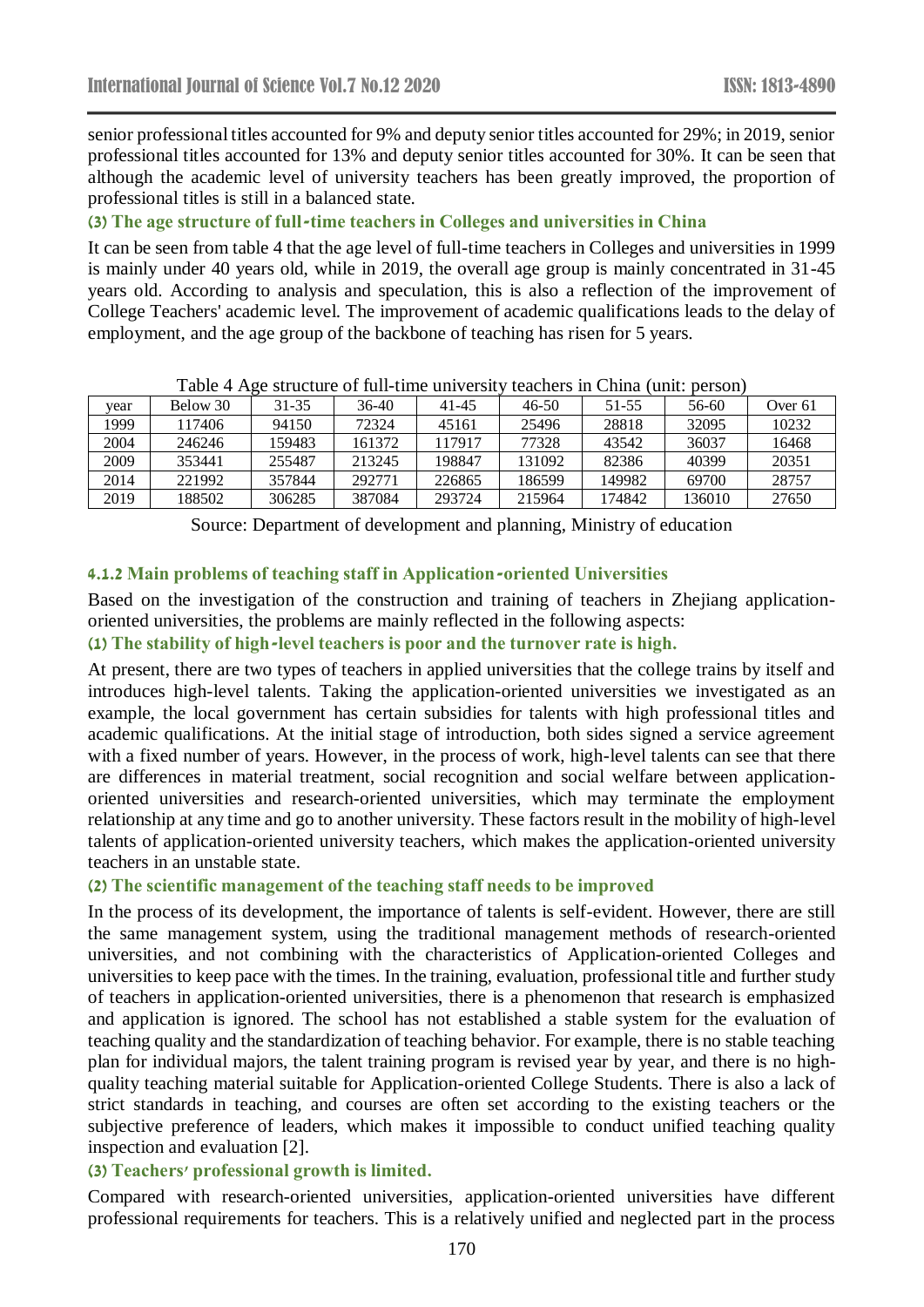senior professional titles accounted for 9% and deputy senior titles accounted for 29%; in 2019, senior professional titles accounted for 13% and deputy senior titles accounted for 30%. It can be seen that although the academic level of university teachers has been greatly improved, the proportion of professional titles is still in a balanced state.

**(3) The age structure of full-time teachers in Colleges and universities in China**

It can be seen from table 4 that the age level of full-time teachers in Colleges and universities in 1999 is mainly under 40 years old, while in 2019, the overall age group is mainly concentrated in 31-45 years old. According to analysis and speculation, this is also a reflection of the improvement of College Teachers' academic level. The improvement of academic qualifications leads to the delay of employment, and the age group of the backbone of teaching has risen for 5 years.

| vear | Below 30 | 31-35  | 36-40  | 41-45  | $46 - 50$ | 51-55  | 56-60  | Over 61 |
|------|----------|--------|--------|--------|-----------|--------|--------|---------|
| 1999 | 117406   | 94150  | 72324  | 45161  | 25496     | 28818  | 32095  | 10232   |
| 2004 | 246246   | 159483 | 161372 | 117917 | 77328     | 43542  | 36037  | 16468   |
| 2009 | 353441   | 255487 | 213245 | 198847 | 131092    | 82386  | 40399  | 20351   |
| 2014 | 221992   | 357844 | 292771 | 226865 | 186599    | 149982 | 69700  | 28757   |
| 2019 | 188502   | 306285 | 387084 | 293724 | 215964    | 174842 | 136010 | 27650   |

| Table 4 Age structure of full-time university teachers in China (unit: person) |  |  |  |
|--------------------------------------------------------------------------------|--|--|--|
|                                                                                |  |  |  |

Source: Department of development and planning, Ministry of education

#### **4.1.2 Main problems of teaching staff in Application-oriented Universities**

Based on the investigation of the construction and training of teachers in Zhejiang applicationoriented universities, the problems are mainly reflected in the following aspects:

**(1) The stability of high-level teachers is poor and the turnover rate is high.**

At present, there are two types of teachers in applied universities that the college trains by itself and introduces high-level talents. Taking the application-oriented universities we investigated as an example, the local government has certain subsidies for talents with high professional titles and academic qualifications. At the initial stage of introduction, both sides signed a service agreement with a fixed number of years. However, in the process of work, high-level talents can see that there are differences in material treatment, social recognition and social welfare between applicationoriented universities and research-oriented universities, which may terminate the employment relationship at any time and go to another university. These factors result in the mobility of high-level talents of application-oriented university teachers, which makes the application-oriented university teachers in an unstable state.

#### **(2) The scientific management of the teaching staff needs to be improved**

In the process of its development, the importance of talents is self-evident. However, there are still the same management system, using the traditional management methods of research-oriented universities, and not combining with the characteristics of Application-oriented Colleges and universities to keep pace with the times. In the training, evaluation, professional title and further study of teachers in application-oriented universities, there is a phenomenon that research is emphasized and application is ignored. The school has not established a stable system for the evaluation of teaching quality and the standardization of teaching behavior. For example, there is no stable teaching plan for individual majors, the talent training program is revised year by year, and there is no highquality teaching material suitable for Application-oriented College Students. There is also a lack of strict standards in teaching, and courses are often set according to the existing teachers or the subjective preference of leaders, which makes it impossible to conduct unified teaching quality inspection and evaluation [2].

#### **(3) Teachers' professional growth is limited.**

Compared with research-oriented universities, application-oriented universities have different professional requirements for teachers. This is a relatively unified and neglected part in the process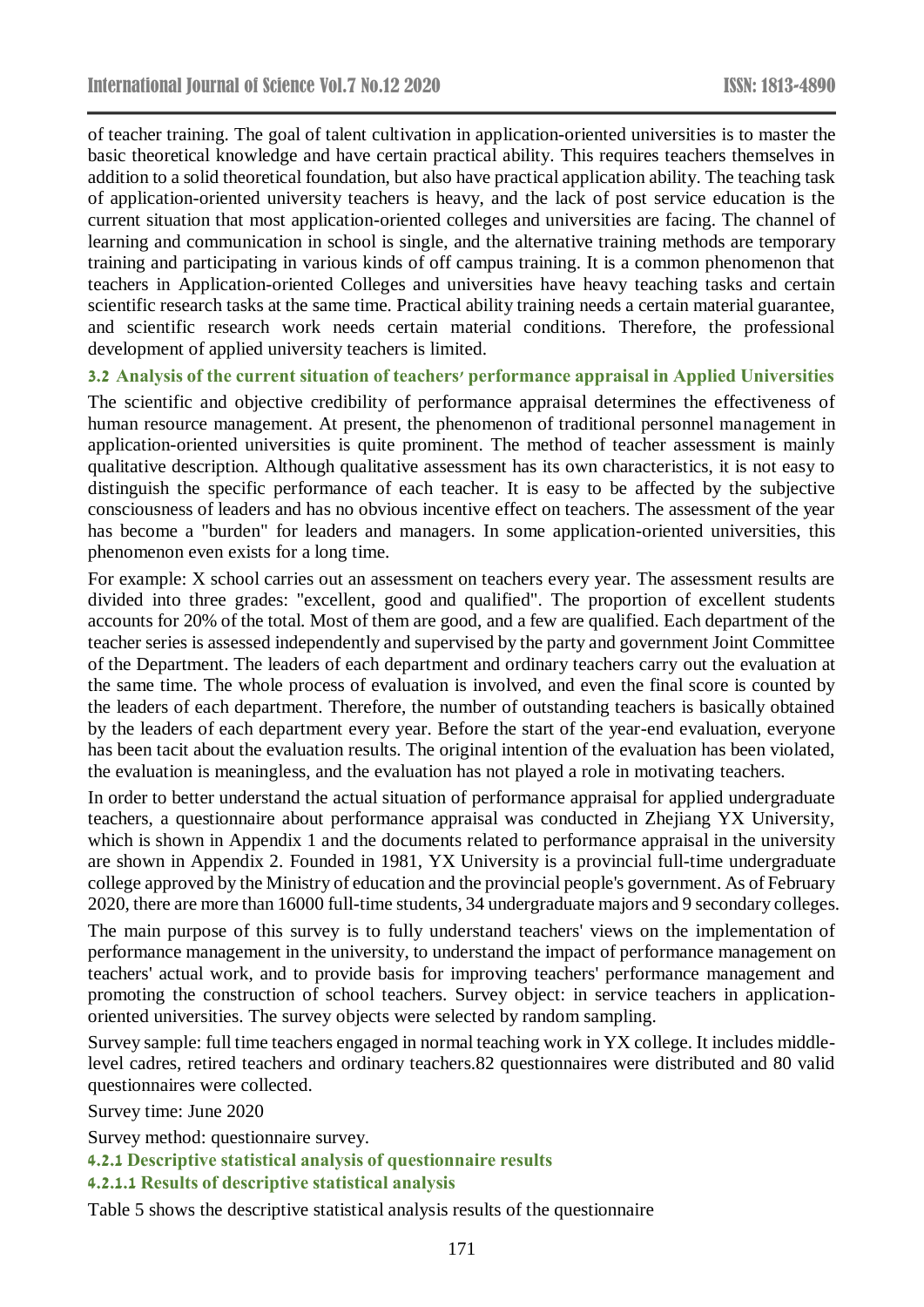of teacher training. The goal of talent cultivation in application-oriented universities is to master the basic theoretical knowledge and have certain practical ability. This requires teachers themselves in addition to a solid theoretical foundation, but also have practical application ability. The teaching task of application-oriented university teachers is heavy, and the lack of post service education is the current situation that most application-oriented colleges and universities are facing. The channel of learning and communication in school is single, and the alternative training methods are temporary training and participating in various kinds of off campus training. It is a common phenomenon that teachers in Application-oriented Colleges and universities have heavy teaching tasks and certain scientific research tasks at the same time. Practical ability training needs a certain material guarantee, and scientific research work needs certain material conditions. Therefore, the professional development of applied university teachers is limited.

#### **3.2 Analysis of the current situation of teachers' performance appraisal in Applied Universities**

The scientific and objective credibility of performance appraisal determines the effectiveness of human resource management. At present, the phenomenon of traditional personnel management in application-oriented universities is quite prominent. The method of teacher assessment is mainly qualitative description. Although qualitative assessment has its own characteristics, it is not easy to distinguish the specific performance of each teacher. It is easy to be affected by the subjective consciousness of leaders and has no obvious incentive effect on teachers. The assessment of the year has become a "burden" for leaders and managers. In some application-oriented universities, this phenomenon even exists for a long time.

For example: X school carries out an assessment on teachers every year. The assessment results are divided into three grades: "excellent, good and qualified". The proportion of excellent students accounts for 20% of the total. Most of them are good, and a few are qualified. Each department of the teacher series is assessed independently and supervised by the party and government Joint Committee of the Department. The leaders of each department and ordinary teachers carry out the evaluation at the same time. The whole process of evaluation is involved, and even the final score is counted by the leaders of each department. Therefore, the number of outstanding teachers is basically obtained by the leaders of each department every year. Before the start of the year-end evaluation, everyone has been tacit about the evaluation results. The original intention of the evaluation has been violated, the evaluation is meaningless, and the evaluation has not played a role in motivating teachers.

In order to better understand the actual situation of performance appraisal for applied undergraduate teachers, a questionnaire about performance appraisal was conducted in Zhejiang YX University, which is shown in Appendix 1 and the documents related to performance appraisal in the university are shown in Appendix 2. Founded in 1981, YX University is a provincial full-time undergraduate college approved by the Ministry of education and the provincial people's government. As of February 2020, there are more than 16000 full-time students, 34 undergraduate majors and 9 secondary colleges.

The main purpose of this survey is to fully understand teachers' views on the implementation of performance management in the university, to understand the impact of performance management on teachers' actual work, and to provide basis for improving teachers' performance management and promoting the construction of school teachers. Survey object: in service teachers in applicationoriented universities. The survey objects were selected by random sampling.

Survey sample: full time teachers engaged in normal teaching work in YX college. It includes middlelevel cadres, retired teachers and ordinary teachers.82 questionnaires were distributed and 80 valid questionnaires were collected.

Survey time: June 2020

Survey method: questionnaire survey.

**4.2.1 Descriptive statistical analysis of questionnaire results**

## **4.2.1.1 Results of descriptive statistical analysis**

Table 5 shows the descriptive statistical analysis results of the questionnaire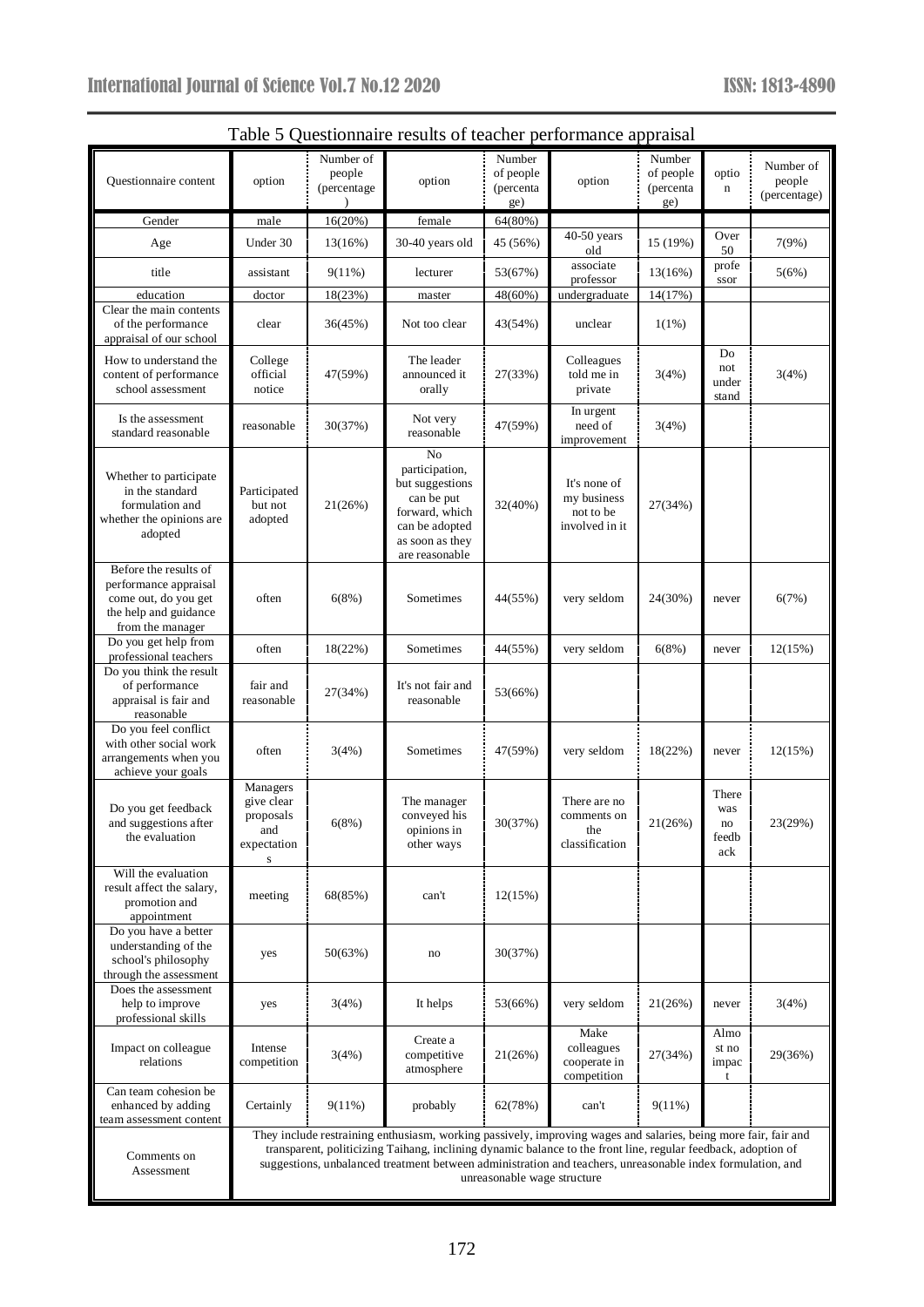| Table 5 Questionnaire results of teacher performance appraisal                                                      |                                                                |                                    |                                                                                                                                                                                                                                                                                                                                                |                                         |                                                            |                                         |                                    |                                     |
|---------------------------------------------------------------------------------------------------------------------|----------------------------------------------------------------|------------------------------------|------------------------------------------------------------------------------------------------------------------------------------------------------------------------------------------------------------------------------------------------------------------------------------------------------------------------------------------------|-----------------------------------------|------------------------------------------------------------|-----------------------------------------|------------------------------------|-------------------------------------|
| Questionnaire content                                                                                               | option                                                         | Number of<br>people<br>(percentage | option                                                                                                                                                                                                                                                                                                                                         | Number<br>of people<br>(percenta<br>ge) | option                                                     | Number<br>of people<br>(percenta<br>ge) | optio<br>n                         | Number of<br>people<br>(percentage) |
| Gender                                                                                                              | male                                                           | 16(20%)                            | female                                                                                                                                                                                                                                                                                                                                         | 64(80%)                                 | 40-50 years                                                |                                         | Over                               |                                     |
| Age                                                                                                                 | Under 30                                                       | 13(16%)                            | 30-40 years old                                                                                                                                                                                                                                                                                                                                | 45 (56%)                                | old                                                        | 15 (19%)                                | 50                                 | 7(9%)                               |
| title                                                                                                               | assistant                                                      | 9(11%)                             | lecturer                                                                                                                                                                                                                                                                                                                                       | 53(67%)                                 | associate<br>professor                                     | 13(16%)                                 | profe<br>ssor                      | 5(6%)                               |
| education<br>Clear the main contents                                                                                | doctor                                                         | 18(23%)                            | master                                                                                                                                                                                                                                                                                                                                         | 48(60%)                                 | undergraduate                                              | 14(17%)                                 |                                    |                                     |
| of the performance<br>appraisal of our school                                                                       | clear                                                          | 36(45%)                            | Not too clear                                                                                                                                                                                                                                                                                                                                  | 43(54%)                                 | unclear                                                    | $1(1\%)$                                |                                    |                                     |
| How to understand the<br>content of performance<br>school assessment                                                | College<br>official<br>notice                                  | 47(59%)                            | The leader<br>announced it<br>orally                                                                                                                                                                                                                                                                                                           | 27(33%)                                 | Colleagues<br>told me in<br>private                        | 3(4%)                                   | Do<br>not<br>under<br>stand        | 3(4%)                               |
| Is the assessment<br>standard reasonable                                                                            | reasonable                                                     | 30(37%)                            | Not very<br>reasonable                                                                                                                                                                                                                                                                                                                         | 47(59%)                                 | In urgent<br>need of<br>improvement                        | 3(4%)                                   |                                    |                                     |
| Whether to participate<br>in the standard<br>formulation and<br>whether the opinions are<br>adopted                 | Participated<br>but not<br>adopted                             | 21(26%)                            | No<br>participation,<br>but suggestions<br>can be put<br>forward, which<br>can be adopted<br>as soon as they<br>are reasonable                                                                                                                                                                                                                 | 32(40%)                                 | It's none of<br>my business<br>not to be<br>involved in it | 27(34%)                                 |                                    |                                     |
| Before the results of<br>performance appraisal<br>come out, do you get<br>the help and guidance<br>from the manager | often                                                          | 6(8%)                              | Sometimes                                                                                                                                                                                                                                                                                                                                      | 44(55%)                                 | very seldom                                                | 24(30%)                                 | never                              | 6(7%)                               |
| Do you get help from<br>professional teachers                                                                       | often                                                          | 18(22%)                            | Sometimes                                                                                                                                                                                                                                                                                                                                      | 44(55%)                                 | very seldom                                                | 6(8%)                                   | never                              | 12(15%)                             |
| Do you think the result<br>of performance<br>appraisal is fair and<br>reasonable                                    | fair and<br>reasonable                                         | 27(34%)                            | It's not fair and<br>reasonable                                                                                                                                                                                                                                                                                                                | 53(66%)                                 |                                                            |                                         |                                    |                                     |
| Do you feel conflict<br>with other social work<br>arrangements when you<br>achieve your goals                       | often                                                          | 3(4%)                              | Sometimes                                                                                                                                                                                                                                                                                                                                      | 47(59%)                                 | very seldom                                                | 18(22%)                                 | never                              | 12(15%)                             |
| Do you get feedback<br>and suggestions after<br>the evaluation                                                      | Managers<br>give clear<br>proposals<br>and<br>expectation<br>s | 6(8%)                              | The manager<br>conveyed his<br>opinions in<br>other ways                                                                                                                                                                                                                                                                                       | 30(37%)                                 | There are no<br>comments on<br>the<br>classification       | 21(26%)                                 | There<br>was<br>no<br>feedb<br>ack | 23(29%)                             |
| Will the evaluation<br>result affect the salary,<br>promotion and<br>appointment                                    | meeting                                                        | 68(85%)                            | can't                                                                                                                                                                                                                                                                                                                                          | 12(15%)                                 |                                                            |                                         |                                    |                                     |
| Do you have a better<br>understanding of the<br>school's philosophy<br>through the assessment                       | yes                                                            | 50(63%)                            | no                                                                                                                                                                                                                                                                                                                                             | 30(37%)                                 |                                                            |                                         |                                    |                                     |
| Does the assessment<br>help to improve<br>professional skills                                                       | yes                                                            | 3(4%)                              | It helps                                                                                                                                                                                                                                                                                                                                       | 53(66%)                                 | very seldom                                                | 21(26%)                                 | never                              | 3(4%)                               |
| Impact on colleague<br>relations                                                                                    | Intense<br>competition                                         | 3(4%)                              | Create a<br>competitive<br>atmosphere                                                                                                                                                                                                                                                                                                          | 21(26%)                                 | Make<br>colleagues<br>cooperate in<br>competition          | 27(34%)                                 | Almo<br>st no<br>impac<br>t        | 29(36%)                             |
| Can team cohesion be<br>enhanced by adding<br>team assessment content                                               | Certainly                                                      | 9(11%)                             | probably                                                                                                                                                                                                                                                                                                                                       | 62(78%)                                 | can't                                                      | $9(11\%)$                               |                                    |                                     |
| Comments on<br>Assessment                                                                                           |                                                                |                                    | They include restraining enthusiasm, working passively, improving wages and salaries, being more fair, fair and<br>transparent, politicizing Taihang, inclining dynamic balance to the front line, regular feedback, adoption of<br>suggestions, unbalanced treatment between administration and teachers, unreasonable index formulation, and | unreasonable wage structure             |                                                            |                                         |                                    |                                     |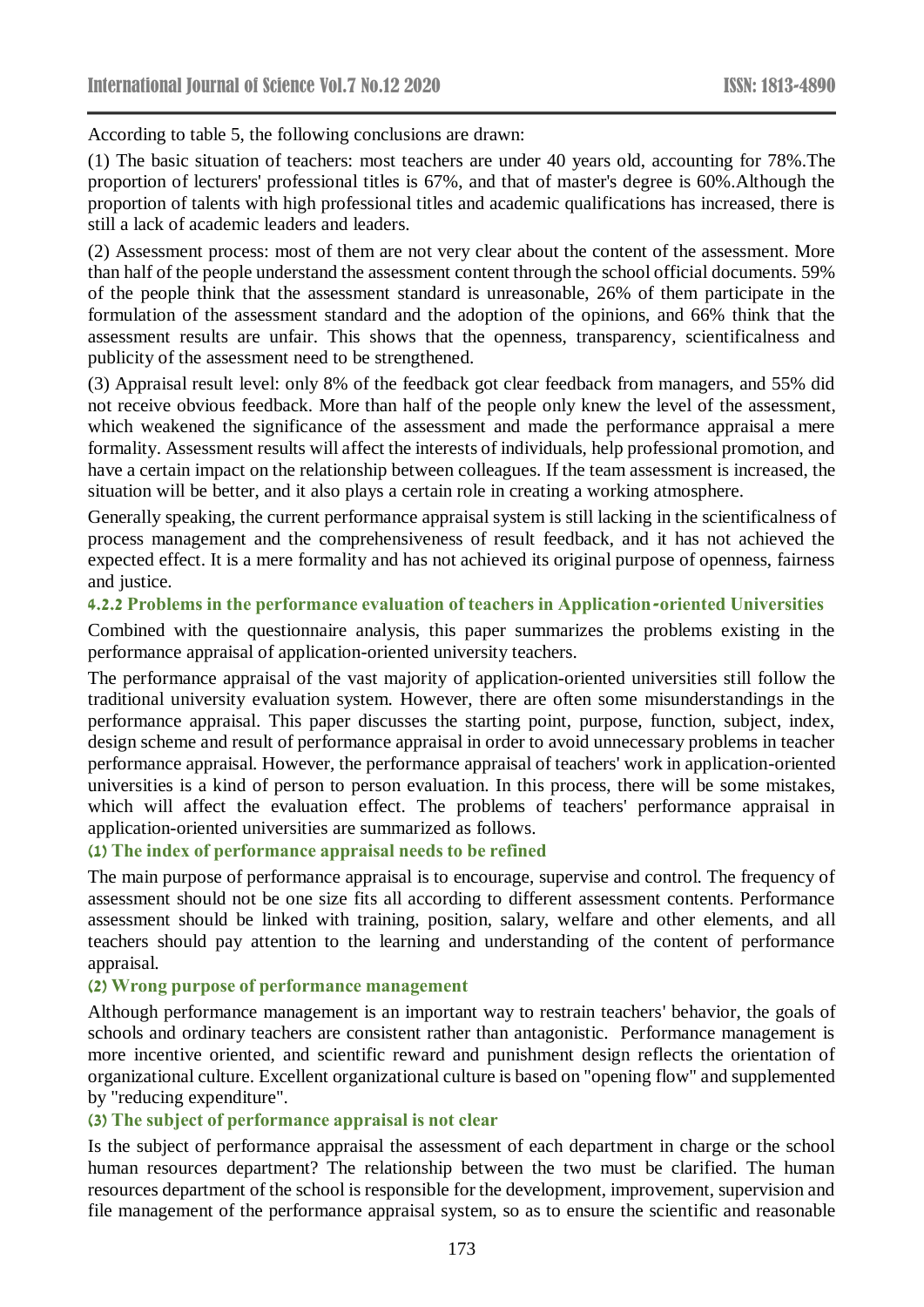According to table 5, the following conclusions are drawn:

(1) The basic situation of teachers: most teachers are under 40 years old, accounting for 78%.The proportion of lecturers' professional titles is 67%, and that of master's degree is 60%.Although the proportion of talents with high professional titles and academic qualifications has increased, there is still a lack of academic leaders and leaders.

(2) Assessment process: most of them are not very clear about the content of the assessment. More than half of the people understand the assessment content through the school official documents. 59% of the people think that the assessment standard is unreasonable, 26% of them participate in the formulation of the assessment standard and the adoption of the opinions, and 66% think that the assessment results are unfair. This shows that the openness, transparency, scientificalness and publicity of the assessment need to be strengthened.

(3) Appraisal result level: only 8% of the feedback got clear feedback from managers, and 55% did not receive obvious feedback. More than half of the people only knew the level of the assessment, which weakened the significance of the assessment and made the performance appraisal a mere formality. Assessment results will affect the interests of individuals, help professional promotion, and have a certain impact on the relationship between colleagues. If the team assessment is increased, the situation will be better, and it also plays a certain role in creating a working atmosphere.

Generally speaking, the current performance appraisal system is still lacking in the scientificalness of process management and the comprehensiveness of result feedback, and it has not achieved the expected effect. It is a mere formality and has not achieved its original purpose of openness, fairness and justice.

#### **4.2.2 Problems in the performance evaluation of teachers in Application-oriented Universities**

Combined with the questionnaire analysis, this paper summarizes the problems existing in the performance appraisal of application-oriented university teachers.

The performance appraisal of the vast majority of application-oriented universities still follow the traditional university evaluation system. However, there are often some misunderstandings in the performance appraisal. This paper discusses the starting point, purpose, function, subject, index, design scheme and result of performance appraisal in order to avoid unnecessary problems in teacher performance appraisal. However, the performance appraisal of teachers' work in application-oriented universities is a kind of person to person evaluation. In this process, there will be some mistakes, which will affect the evaluation effect. The problems of teachers' performance appraisal in application-oriented universities are summarized as follows.

#### **(1) The index of performance appraisal needs to be refined**

The main purpose of performance appraisal is to encourage, supervise and control. The frequency of assessment should not be one size fits all according to different assessment contents. Performance assessment should be linked with training, position, salary, welfare and other elements, and all teachers should pay attention to the learning and understanding of the content of performance appraisal.

#### **(2) Wrong purpose of performance management**

Although performance management is an important way to restrain teachers' behavior, the goals of schools and ordinary teachers are consistent rather than antagonistic. Performance management is more incentive oriented, and scientific reward and punishment design reflects the orientation of organizational culture. Excellent organizational culture is based on "opening flow" and supplemented by "reducing expenditure".

#### **(3) The subject of performance appraisal is not clear**

Is the subject of performance appraisal the assessment of each department in charge or the school human resources department? The relationship between the two must be clarified. The human resources department of the school is responsible for the development, improvement, supervision and file management of the performance appraisal system, so as to ensure the scientific and reasonable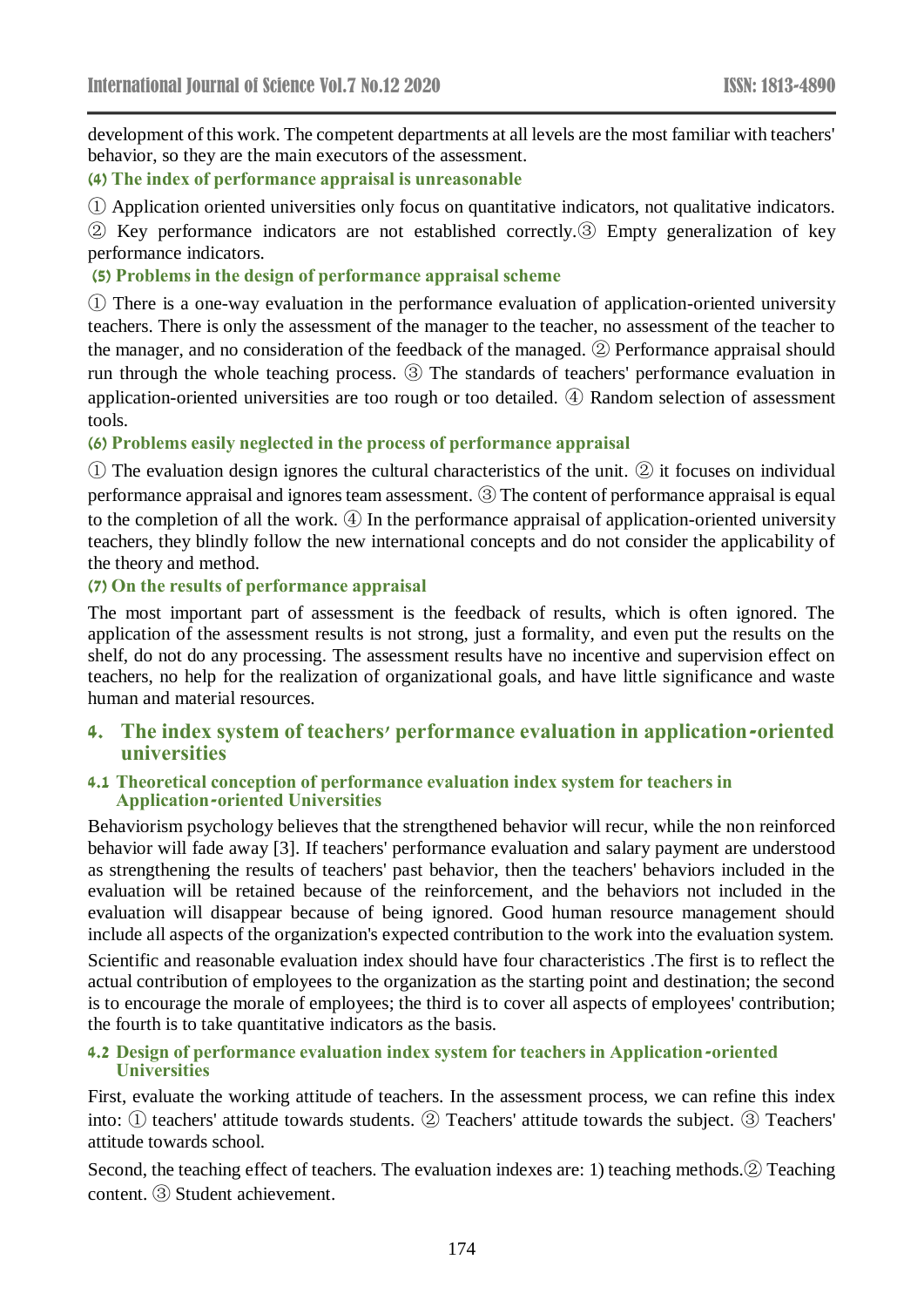development of this work. The competent departments at all levels are the most familiar with teachers' behavior, so they are the main executors of the assessment.

**(4) The index of performance appraisal is unreasonable**

① Application oriented universities only focus on quantitative indicators, not qualitative indicators.

② Key performance indicators are not established correctly.③ Empty generalization of key performance indicators.

**(5) Problems in the design of performance appraisal scheme**

① There is a one-way evaluation in the performance evaluation of application-oriented university teachers. There is only the assessment of the manager to the teacher, no assessment of the teacher to the manager, and no consideration of the feedback of the managed. ② Performance appraisal should run through the whole teaching process. ③ The standards of teachers' performance evaluation in application-oriented universities are too rough or too detailed. ④ Random selection of assessment tools.

**(6) Problems easily neglected in the process of performance appraisal** 

① The evaluation design ignores the cultural characteristics of the unit. ② it focuses on individual performance appraisal and ignores team assessment. ③ The content of performance appraisal is equal to the completion of all the work. ④ In the performance appraisal of application-oriented university teachers, they blindly follow the new international concepts and do not consider the applicability of the theory and method.

#### **(7) On the results of performance appraisal**

The most important part of assessment is the feedback of results, which is often ignored. The application of the assessment results is not strong, just a formality, and even put the results on the shelf, do not do any processing. The assessment results have no incentive and supervision effect on teachers, no help for the realization of organizational goals, and have little significance and waste human and material resources.

## **4. The index system of teachers' performance evaluation in application-oriented universities**

#### **4.1 Theoretical conception of performance evaluation index system for teachers in Application-oriented Universities**

Behaviorism psychology believes that the strengthened behavior will recur, while the non reinforced behavior will fade away [3]. If teachers' performance evaluation and salary payment are understood as strengthening the results of teachers' past behavior, then the teachers' behaviors included in the evaluation will be retained because of the reinforcement, and the behaviors not included in the evaluation will disappear because of being ignored. Good human resource management should include all aspects of the organization's expected contribution to the work into the evaluation system. Scientific and reasonable evaluation index should have four characteristics .The first is to reflect the actual contribution of employees to the organization as the starting point and destination; the second is to encourage the morale of employees; the third is to cover all aspects of employees' contribution; the fourth is to take quantitative indicators as the basis.

#### **4.2 Design of performance evaluation index system for teachers in Application-oriented Universities**

First, evaluate the working attitude of teachers. In the assessment process, we can refine this index into: ① teachers' attitude towards students. ② Teachers' attitude towards the subject. ③ Teachers' attitude towards school.

Second, the teaching effect of teachers. The evaluation indexes are: 1) teaching methods.② Teaching content. ③ Student achievement.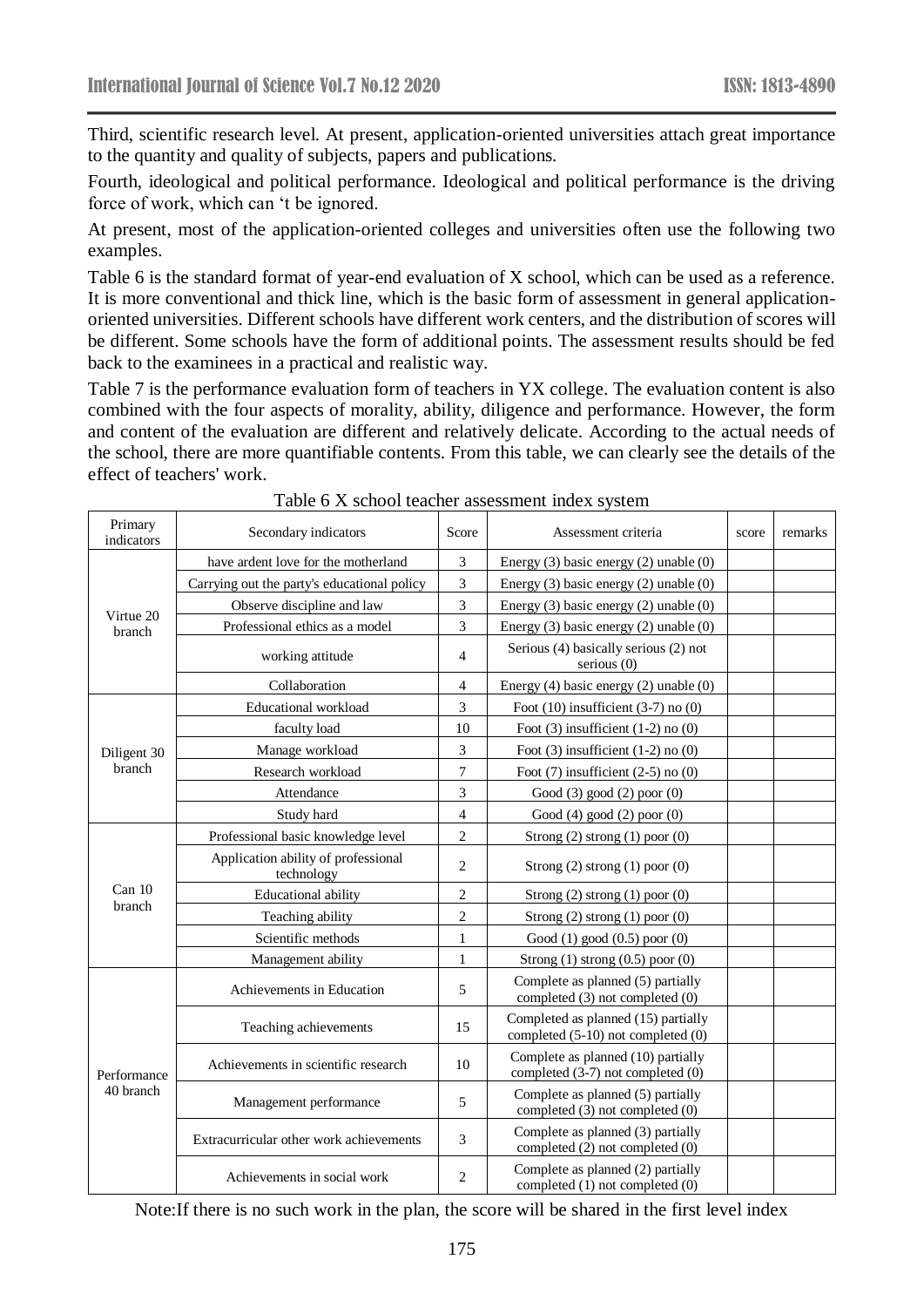Third, scientific research level. At present, application-oriented universities attach great importance to the quantity and quality of subjects, papers and publications.

Fourth, ideological and political performance. Ideological and political performance is the driving force of work, which can 't be ignored.

At present, most of the application-oriented colleges and universities often use the following two examples.

Table 6 is the standard format of year-end evaluation of X school, which can be used as a reference. It is more conventional and thick line, which is the basic form of assessment in general applicationoriented universities. Different schools have different work centers, and the distribution of scores will be different. Some schools have the form of additional points. The assessment results should be fed back to the examinees in a practical and realistic way.

Table 7 is the performance evaluation form of teachers in YX college. The evaluation content is also combined with the four aspects of morality, ability, diligence and performance. However, the form and content of the evaluation are different and relatively delicate. According to the actual needs of the school, there are more quantifiable contents. From this table, we can clearly see the details of the effect of teachers' work.

| Primary<br>indicators | Secondary indicators                              | Score          | Assessment criteria                                                         | remarks |  |
|-----------------------|---------------------------------------------------|----------------|-----------------------------------------------------------------------------|---------|--|
|                       | have ardent love for the motherland               | 3              | Energy $(3)$ basic energy $(2)$ unable $(0)$                                |         |  |
| Virtue 20             | Carrying out the party's educational policy       |                | Energy $(3)$ basic energy $(2)$ unable $(0)$                                |         |  |
|                       | Observe discipline and law                        | 3              | Energy $(3)$ basic energy $(2)$ unable $(0)$                                |         |  |
| branch                | Professional ethics as a model                    | 3              | Energy $(3)$ basic energy $(2)$ unable $(0)$                                |         |  |
|                       | working attitude                                  | $\overline{4}$ | Serious (4) basically serious (2) not<br>serious $(0)$                      |         |  |
|                       | Collaboration                                     | 4              | Energy $(4)$ basic energy $(2)$ unable $(0)$                                |         |  |
|                       | Educational workload                              | $\overline{3}$ | Foot $(10)$ insufficient $(3-7)$ no $(0)$                                   |         |  |
|                       | faculty load                                      | 10             | Foot $(3)$ insufficient $(1-2)$ no $(0)$                                    |         |  |
| Diligent 30           | Manage workload                                   | 3              | Foot $(3)$ insufficient $(1-2)$ no $(0)$                                    |         |  |
| branch                | Research workload                                 | 7              | Foot $(7)$ insufficient $(2-5)$ no $(0)$                                    |         |  |
|                       | Attendance                                        | 3              | Good (3) good (2) poor (0)                                                  |         |  |
|                       | Study hard                                        | 4              | Good (4) good (2) poor (0)                                                  |         |  |
|                       | Professional basic knowledge level                | $\overline{c}$ | Strong $(2)$ strong $(1)$ poor $(0)$                                        |         |  |
|                       | Application ability of professional<br>technology | 2              | Strong $(2)$ strong $(1)$ poor $(0)$                                        |         |  |
| Can 10                | <b>Educational ability</b>                        | $\overline{c}$ | Strong $(2)$ strong $(1)$ poor $(0)$                                        |         |  |
|                       | Teaching ability                                  | $\overline{c}$ | Strong $(2)$ strong $(1)$ poor $(0)$                                        |         |  |
|                       | Scientific methods                                | $\mathbf{1}$   | Good (1) good (0.5) poor (0)                                                |         |  |
| branch                | Management ability                                | $\mathbf{1}$   | Strong $(1)$ strong $(0.5)$ poor $(0)$                                      |         |  |
|                       | Achievements in Education                         | 5              | Complete as planned (5) partially<br>completed (3) not completed (0)        |         |  |
|                       | Teaching achievements                             | 15             | Completed as planned (15) partially<br>completed (5-10) not completed (0)   |         |  |
| Performance           | Achievements in scientific research               | 10             | Complete as planned (10) partially<br>completed $(3-7)$ not completed $(0)$ |         |  |
| 40 branch             | Management performance                            | 5              | Complete as planned (5) partially<br>completed $(3)$ not completed $(0)$    |         |  |
|                       | Extracurricular other work achievements           | 3              | Complete as planned (3) partially<br>completed (2) not completed (0)        |         |  |
|                       | Achievements in social work                       | 2              | Complete as planned (2) partially<br>completed (1) not completed (0)        |         |  |

Table 6 X school teacher assessment index system

Note:If there is no such work in the plan, the score will be shared in the first level index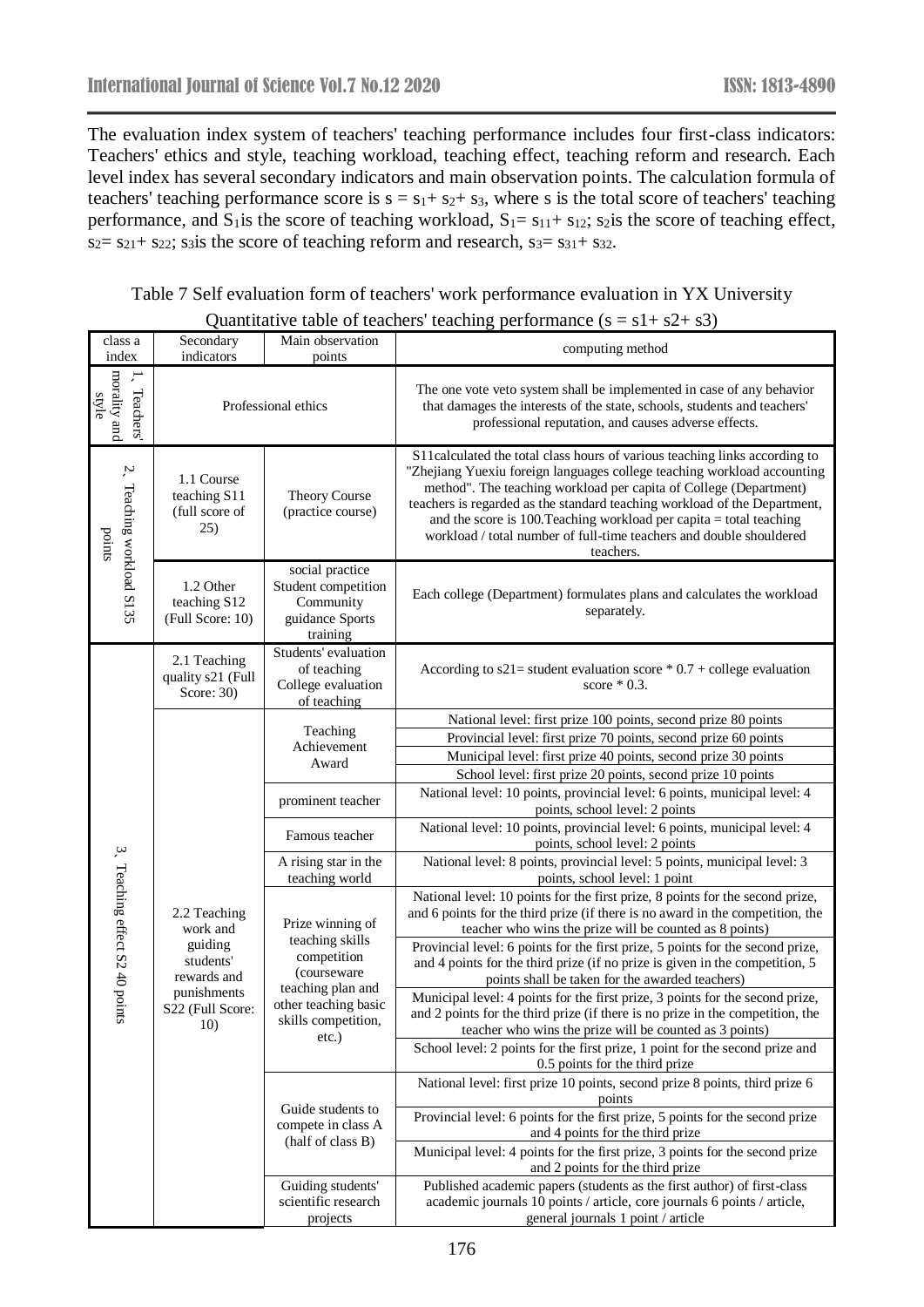The evaluation index system of teachers' teaching performance includes four first-class indicators: Teachers' ethics and style, teaching workload, teaching effect, teaching reform and research. Each level index has several secondary indicators and main observation points. The calculation formula of teachers' teaching performance score is  $s = s_1 + s_2 + s_3$ , where s is the total score of teachers' teaching performance, and  $S_1$  is the score of teaching workload,  $S_1 = s_{11} + s_{12}$ ; s<sub>2</sub> is the score of teaching effect,  $s_2 = s_{21} + s_{22}$ ; s<sub>3</sub>is the score of teaching reform and research,  $s_3 = s_{31} + s_{32}$ .

|  | Table 7 Self evaluation form of teachers' work performance evaluation in YX University |  |
|--|----------------------------------------------------------------------------------------|--|
|  | Ouantitative table of teachers' teaching performance $(s = s1 + s2 + s3)$              |  |

| class a<br>index                                          | Secondary<br>indicators                                                                                                             | Main observation<br>points                                               | 11011111111.00<br>computing method                                                                                                                                                                                                                                                                                                                                                                                                                                   |
|-----------------------------------------------------------|-------------------------------------------------------------------------------------------------------------------------------------|--------------------------------------------------------------------------|----------------------------------------------------------------------------------------------------------------------------------------------------------------------------------------------------------------------------------------------------------------------------------------------------------------------------------------------------------------------------------------------------------------------------------------------------------------------|
| morality and<br>$\cdot$ <sup>-</sup><br>Teachers<br>style | Professional ethics                                                                                                                 |                                                                          | The one vote veto system shall be implemented in case of any behavior<br>that damages the interests of the state, schools, students and teachers'<br>professional reputation, and causes adverse effects.                                                                                                                                                                                                                                                            |
| 2. Teaching workload S135<br>points                       | 1.1 Course<br>teaching S11<br>(full score of<br>25)                                                                                 | Theory Course<br>(practice course)                                       | S11calculated the total class hours of various teaching links according to<br>"Zhejiang Yuexiu foreign languages college teaching workload accounting<br>method". The teaching workload per capita of College (Department)<br>teachers is regarded as the standard teaching workload of the Department,<br>and the score is 100. Teaching workload per capita $=$ total teaching<br>workload / total number of full-time teachers and double shouldered<br>teachers. |
|                                                           | social practice<br>1.2 Other<br>Student competition<br>teaching S12<br>Community<br>(Full Score: 10)<br>guidance Sports<br>training |                                                                          | Each college (Department) formulates plans and calculates the workload<br>separately.                                                                                                                                                                                                                                                                                                                                                                                |
|                                                           | 2.1 Teaching<br>quality s21 (Full<br>Score: $30$ )                                                                                  | Students' evaluation<br>of teaching<br>College evaluation<br>of teaching | According to $s21$ = student evaluation score * 0.7 + college evaluation<br>score $*$ 0.3.                                                                                                                                                                                                                                                                                                                                                                           |
|                                                           |                                                                                                                                     | Teaching<br>Achievement<br>Award                                         | National level: first prize 100 points, second prize 80 points<br>Provincial level: first prize 70 points, second prize 60 points<br>Municipal level: first prize 40 points, second prize 30 points<br>School level: first prize 20 points, second prize 10 points                                                                                                                                                                                                   |
|                                                           |                                                                                                                                     | prominent teacher                                                        | National level: 10 points, provincial level: 6 points, municipal level: 4<br>points, school level: 2 points                                                                                                                                                                                                                                                                                                                                                          |
|                                                           |                                                                                                                                     | Famous teacher                                                           | National level: 10 points, provincial level: 6 points, municipal level: 4<br>points, school level: 2 points                                                                                                                                                                                                                                                                                                                                                          |
|                                                           |                                                                                                                                     | A rising star in the<br>teaching world                                   | National level: 8 points, provincial level: 5 points, municipal level: 3<br>points, school level: 1 point                                                                                                                                                                                                                                                                                                                                                            |
| 3、Teaching effect S2 40 points                            | 2.2 Teaching<br>work and                                                                                                            | Prize winning of                                                         | National level: 10 points for the first prize, 8 points for the second prize,<br>and 6 points for the third prize (if there is no award in the competition, the<br>teacher who wins the prize will be counted as 8 points)                                                                                                                                                                                                                                           |
|                                                           | guiding<br>students'<br>rewards and                                                                                                 | teaching skills<br>competition<br>(courseware                            | Provincial level: 6 points for the first prize, 5 points for the second prize,<br>and 4 points for the third prize (if no prize is given in the competition, 5<br>points shall be taken for the awarded teachers)                                                                                                                                                                                                                                                    |
|                                                           | punishments<br>S22 (Full Score:<br>10)                                                                                              | teaching plan and<br>other teaching basic<br>skills competition,         | Municipal level: 4 points for the first prize, 3 points for the second prize,<br>and 2 points for the third prize (if there is no prize in the competition, the<br>teacher who wins the prize will be counted as 3 points)                                                                                                                                                                                                                                           |
|                                                           |                                                                                                                                     | etc.)                                                                    | School level: 2 points for the first prize, 1 point for the second prize and<br>0.5 points for the third prize                                                                                                                                                                                                                                                                                                                                                       |
|                                                           |                                                                                                                                     |                                                                          | National level: first prize 10 points, second prize 8 points, third prize 6<br>points                                                                                                                                                                                                                                                                                                                                                                                |
|                                                           |                                                                                                                                     | Guide students to<br>compete in class A                                  | Provincial level: 6 points for the first prize, 5 points for the second prize<br>and 4 points for the third prize                                                                                                                                                                                                                                                                                                                                                    |
|                                                           |                                                                                                                                     | (half of class B)                                                        | Municipal level: 4 points for the first prize, 3 points for the second prize<br>and 2 points for the third prize                                                                                                                                                                                                                                                                                                                                                     |
|                                                           |                                                                                                                                     | Guiding students'<br>scientific research<br>projects                     | Published academic papers (students as the first author) of first-class<br>academic journals 10 points / article, core journals 6 points / article,<br>general journals 1 point / article                                                                                                                                                                                                                                                                            |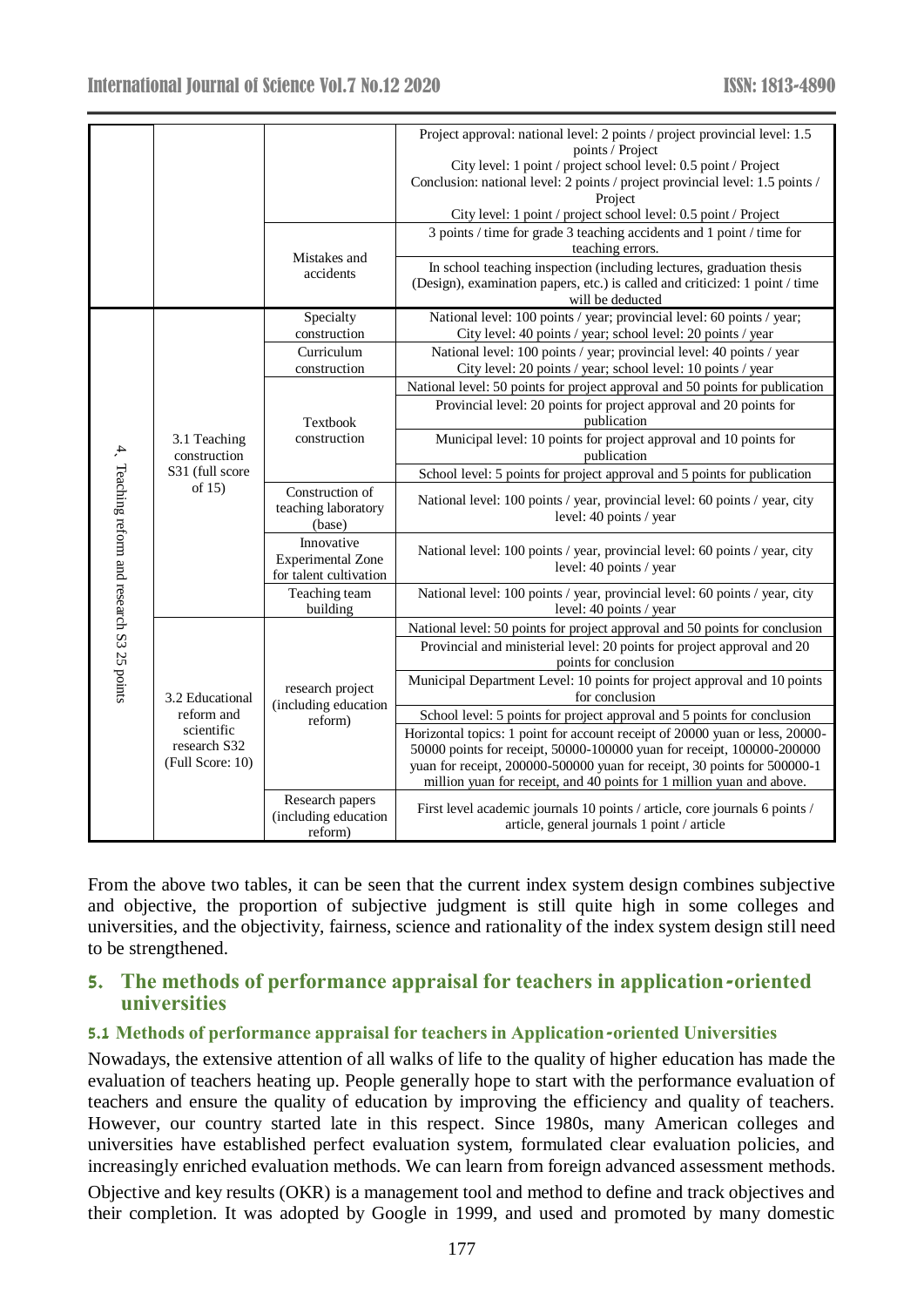| Project approval: national level: 2 points / project provincial level: 1.5                                                                                            |  |
|-----------------------------------------------------------------------------------------------------------------------------------------------------------------------|--|
| points / Project                                                                                                                                                      |  |
| City level: 1 point / project school level: 0.5 point / Project                                                                                                       |  |
| Conclusion: national level: 2 points / project provincial level: 1.5 points /                                                                                         |  |
| Project                                                                                                                                                               |  |
| City level: 1 point / project school level: 0.5 point / Project                                                                                                       |  |
| 3 points / time for grade 3 teaching accidents and 1 point / time for                                                                                                 |  |
| teaching errors.                                                                                                                                                      |  |
| Mistakes and<br>In school teaching inspection (including lectures, graduation thesis                                                                                  |  |
| accidents<br>(Design), examination papers, etc.) is called and criticized: 1 point / time                                                                             |  |
| will be deducted                                                                                                                                                      |  |
| National level: 100 points / year; provincial level: 60 points / year;<br>Specialty                                                                                   |  |
| City level: 40 points / year; school level: 20 points / year<br>construction                                                                                          |  |
| National level: 100 points / year; provincial level: 40 points / year<br>Curriculum                                                                                   |  |
| City level: 20 points / year; school level: 10 points / year<br>construction                                                                                          |  |
| National level: 50 points for project approval and 50 points for publication                                                                                          |  |
| Provincial level: 20 points for project approval and 20 points for                                                                                                    |  |
| publication<br>Textbook                                                                                                                                               |  |
| construction<br>Municipal level: 10 points for project approval and 10 points for<br>3.1 Teaching                                                                     |  |
| construction<br>publication                                                                                                                                           |  |
| S31 (full score<br>School level: 5 points for project approval and 5 points for publication                                                                           |  |
| of $15$ )<br>Construction of<br>National level: 100 points / year, provincial level: 60 points / year, city                                                           |  |
| teaching laboratory<br>level: 40 points / year                                                                                                                        |  |
| 4. Teaching reform and research S3 25 points<br>(base)                                                                                                                |  |
| Innovative<br>National level: 100 points / year, provincial level: 60 points / year, city                                                                             |  |
| <b>Experimental Zone</b><br>level: 40 points / year                                                                                                                   |  |
| for talent cultivation                                                                                                                                                |  |
| Teaching team<br>National level: 100 points / year, provincial level: 60 points / year, city                                                                          |  |
| level: 40 points / year<br>building                                                                                                                                   |  |
| National level: 50 points for project approval and 50 points for conclusion                                                                                           |  |
| Provincial and ministerial level: 20 points for project approval and 20                                                                                               |  |
| points for conclusion                                                                                                                                                 |  |
| Municipal Department Level: 10 points for project approval and 10 points<br>research project                                                                          |  |
| for conclusion<br>3.2 Educational<br>(including education                                                                                                             |  |
| reform and<br>School level: 5 points for project approval and 5 points for conclusion<br>reform)<br>scientific                                                        |  |
| Horizontal topics: 1 point for account receipt of 20000 yuan or less, 20000-<br>research S32                                                                          |  |
| 50000 points for receipt, 50000-100000 yuan for receipt, 100000-200000<br>(Full Score: 10)                                                                            |  |
| yuan for receipt, 200000-500000 yuan for receipt, 30 points for 500000-1<br>million yuan for receipt, and 40 points for 1 million yuan and above.                     |  |
|                                                                                                                                                                       |  |
|                                                                                                                                                                       |  |
| Research papers<br>First level academic journals 10 points / article, core journals 6 points /<br>(including education<br>article, general journals 1 point / article |  |

From the above two tables, it can be seen that the current index system design combines subjective and objective, the proportion of subjective judgment is still quite high in some colleges and universities, and the objectivity, fairness, science and rationality of the index system design still need to be strengthened.

## **5. The methods of performance appraisal for teachers in application-oriented universities**

#### **5.1 Methods of performance appraisal for teachers in Application-oriented Universities**

Nowadays, the extensive attention of all walks of life to the quality of higher education has made the evaluation of teachers heating up. People generally hope to start with the performance evaluation of teachers and ensure the quality of education by improving the efficiency and quality of teachers. However, our country started late in this respect. Since 1980s, many American colleges and universities have established perfect evaluation system, formulated clear evaluation policies, and increasingly enriched evaluation methods. We can learn from foreign advanced assessment methods.

Objective and key results (OKR) is a management tool and method to define and track objectives and their completion. It was adopted by Google in 1999, and used and promoted by many domestic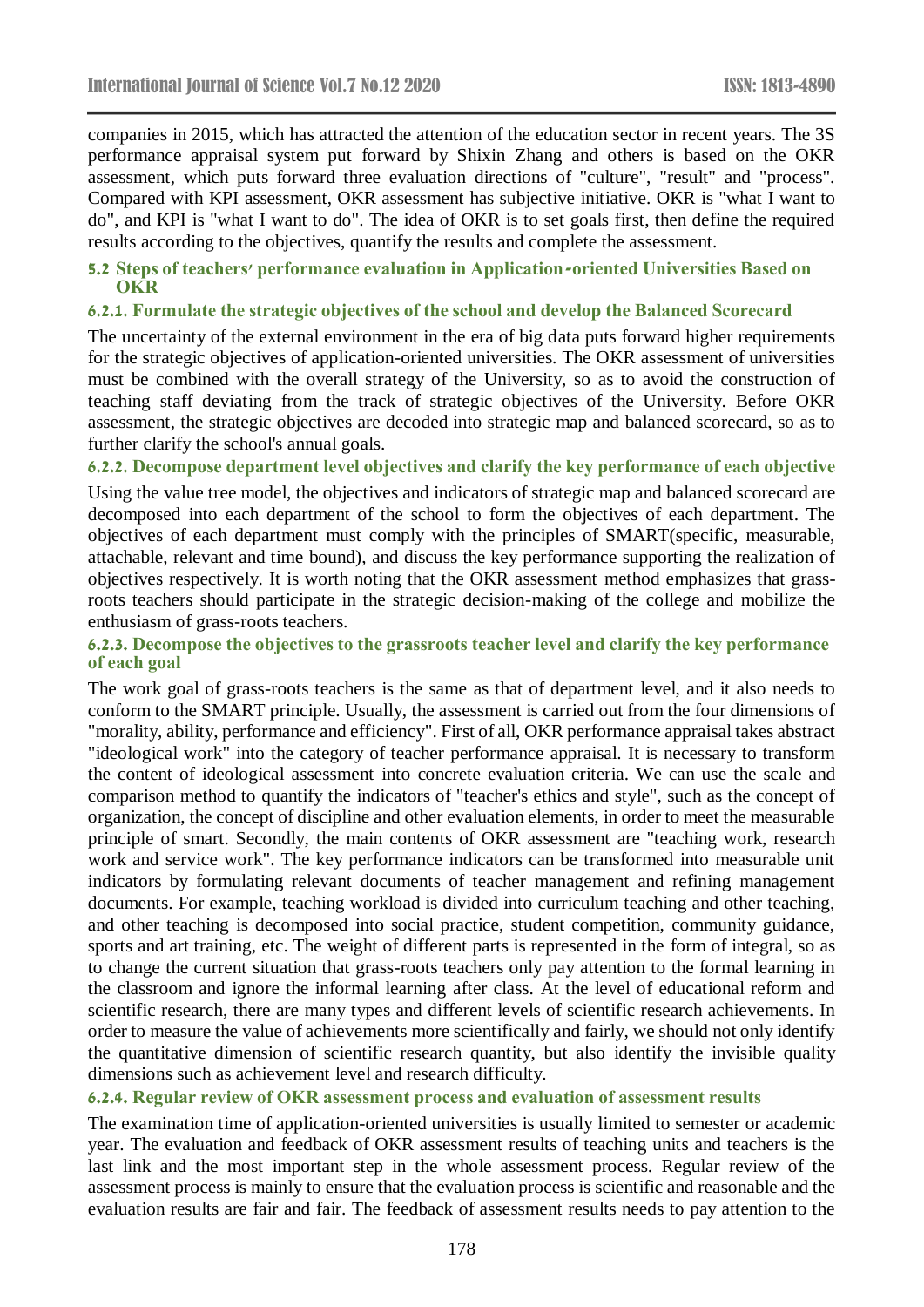companies in 2015, which has attracted the attention of the education sector in recent years. The 3S performance appraisal system put forward by Shixin Zhang and others is based on the OKR assessment, which puts forward three evaluation directions of "culture", "result" and "process". Compared with KPI assessment, OKR assessment has subjective initiative. OKR is "what I want to do", and KPI is "what I want to do". The idea of OKR is to set goals first, then define the required results according to the objectives, quantify the results and complete the assessment.

#### **5.2 Steps of teachers' performance evaluation in Application-oriented Universities Based on OKR**

#### **6.2.1. Formulate the strategic objectives of the school and develop the Balanced Scorecard**

The uncertainty of the external environment in the era of big data puts forward higher requirements for the strategic objectives of application-oriented universities. The OKR assessment of universities must be combined with the overall strategy of the University, so as to avoid the construction of teaching staff deviating from the track of strategic objectives of the University. Before OKR assessment, the strategic objectives are decoded into strategic map and balanced scorecard, so as to further clarify the school's annual goals.

## **6.2.2. Decompose department level objectives and clarify the key performance of each objective**

Using the value tree model, the objectives and indicators of strategic map and balanced scorecard are decomposed into each department of the school to form the objectives of each department. The objectives of each department must comply with the principles of SMART(specific, measurable, attachable, relevant and time bound), and discuss the key performance supporting the realization of objectives respectively. It is worth noting that the OKR assessment method emphasizes that grassroots teachers should participate in the strategic decision-making of the college and mobilize the enthusiasm of grass-roots teachers.

#### **6.2.3. Decompose the objectives to the grassroots teacher level and clarify the key performance of each goal**

The work goal of grass-roots teachers is the same as that of department level, and it also needs to conform to the SMART principle. Usually, the assessment is carried out from the four dimensions of "morality, ability, performance and efficiency". First of all, OKR performance appraisal takes abstract "ideological work" into the category of teacher performance appraisal. It is necessary to transform the content of ideological assessment into concrete evaluation criteria. We can use the scale and comparison method to quantify the indicators of "teacher's ethics and style", such as the concept of organization, the concept of discipline and other evaluation elements, in order to meet the measurable principle of smart. Secondly, the main contents of OKR assessment are "teaching work, research work and service work". The key performance indicators can be transformed into measurable unit indicators by formulating relevant documents of teacher management and refining management documents. For example, teaching workload is divided into curriculum teaching and other teaching, and other teaching is decomposed into social practice, student competition, community guidance, sports and art training, etc. The weight of different parts is represented in the form of integral, so as to change the current situation that grass-roots teachers only pay attention to the formal learning in the classroom and ignore the informal learning after class. At the level of educational reform and scientific research, there are many types and different levels of scientific research achievements. In order to measure the value of achievements more scientifically and fairly, we should not only identify the quantitative dimension of scientific research quantity, but also identify the invisible quality dimensions such as achievement level and research difficulty.

### **6.2.4. Regular review of OKR assessment process and evaluation of assessment results**

The examination time of application-oriented universities is usually limited to semester or academic year. The evaluation and feedback of OKR assessment results of teaching units and teachers is the last link and the most important step in the whole assessment process. Regular review of the assessment process is mainly to ensure that the evaluation process is scientific and reasonable and the evaluation results are fair and fair. The feedback of assessment results needs to pay attention to the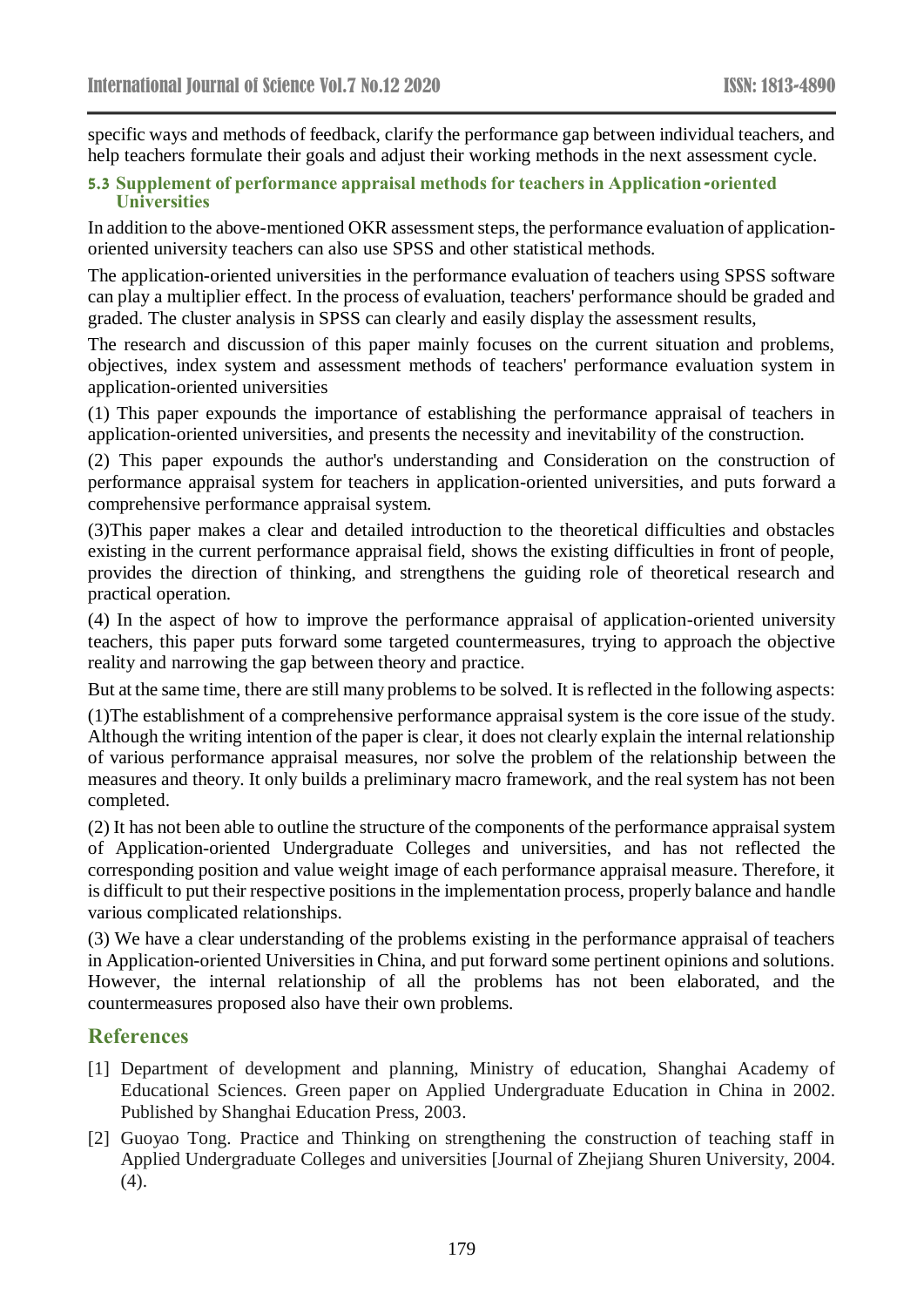specific ways and methods of feedback, clarify the performance gap between individual teachers, and help teachers formulate their goals and adjust their working methods in the next assessment cycle.

#### **5.3 Supplement of performance appraisal methods for teachers in Application-oriented Universities**

In addition to the above-mentioned OKR assessment steps, the performance evaluation of applicationoriented university teachers can also use SPSS and other statistical methods.

The application-oriented universities in the performance evaluation of teachers using SPSS software can play a multiplier effect. In the process of evaluation, teachers' performance should be graded and graded. The cluster analysis in SPSS can clearly and easily display the assessment results,

The research and discussion of this paper mainly focuses on the current situation and problems, objectives, index system and assessment methods of teachers' performance evaluation system in application-oriented universities

(1) This paper expounds the importance of establishing the performance appraisal of teachers in application-oriented universities, and presents the necessity and inevitability of the construction.

(2) This paper expounds the author's understanding and Consideration on the construction of performance appraisal system for teachers in application-oriented universities, and puts forward a comprehensive performance appraisal system.

(3)This paper makes a clear and detailed introduction to the theoretical difficulties and obstacles existing in the current performance appraisal field, shows the existing difficulties in front of people, provides the direction of thinking, and strengthens the guiding role of theoretical research and practical operation.

(4) In the aspect of how to improve the performance appraisal of application-oriented university teachers, this paper puts forward some targeted countermeasures, trying to approach the objective reality and narrowing the gap between theory and practice.

But at the same time, there are still many problems to be solved. It is reflected in the following aspects:

(1)The establishment of a comprehensive performance appraisal system is the core issue of the study. Although the writing intention of the paper is clear, it does not clearly explain the internal relationship of various performance appraisal measures, nor solve the problem of the relationship between the measures and theory. It only builds a preliminary macro framework, and the real system has not been completed.

(2) It has not been able to outline the structure of the components of the performance appraisal system of Application-oriented Undergraduate Colleges and universities, and has not reflected the corresponding position and value weight image of each performance appraisal measure. Therefore, it is difficult to put their respective positions in the implementation process, properly balance and handle various complicated relationships.

(3) We have a clear understanding of the problems existing in the performance appraisal of teachers in Application-oriented Universities in China, and put forward some pertinent opinions and solutions. However, the internal relationship of all the problems has not been elaborated, and the countermeasures proposed also have their own problems.

## **References**

- [1] Department of development and planning, Ministry of education, Shanghai Academy of Educational Sciences. Green paper on Applied Undergraduate Education in China in 2002. Published by Shanghai Education Press, 2003.
- [2] Guoyao Tong. Practice and Thinking on strengthening the construction of teaching staff in Applied Undergraduate Colleges and universities [Journal of Zhejiang Shuren University, 2004. (4).